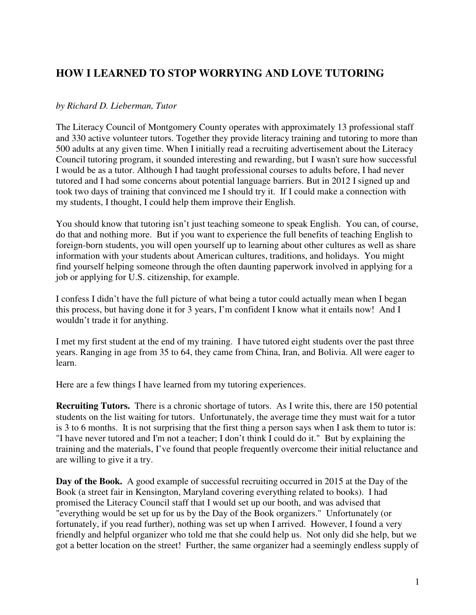## **HOW I LEARNED TO STOP WORRYING AND LOVE TUTORING**

## *by Richard D. Lieberman, Tutor*

The Literacy Council of Montgomery County operates with approximately 13 professional staff and 330 active volunteer tutors. Together they provide literacy training and tutoring to more than 500 adults at any given time. When I initially read a recruiting advertisement about the Literacy Council tutoring program, it sounded interesting and rewarding, but I wasn't sure how successful I would be as a tutor. Although I had taught professional courses to adults before, I had never tutored and I had some concerns about potential language barriers. But in 2012 I signed up and took two days of training that convinced me I should try it. If I could make a connection with my students, I thought, I could help them improve their English.

You should know that tutoring isn't just teaching someone to speak English. You can, of course, do that and nothing more. But if you want to experience the full benefits of teaching English to foreign-born students, you will open yourself up to learning about other cultures as well as share information with your students about American cultures, traditions, and holidays. You might find yourself helping someone through the often daunting paperwork involved in applying for a job or applying for U.S. citizenship, for example.

I confess I didn't have the full picture of what being a tutor could actually mean when I began this process, but having done it for 3 years, I'm confident I know what it entails now! And I wouldn't trade it for anything.

I met my first student at the end of my training. I have tutored eight students over the past three years. Ranging in age from 35 to 64, they came from China, Iran, and Bolivia. All were eager to learn.

Here are a few things I have learned from my tutoring experiences.

**Recruiting Tutors.** There is a chronic shortage of tutors. As I write this, there are 150 potential students on the list waiting for tutors. Unfortunately, the average time they must wait for a tutor is 3 to 6 months. It is not surprising that the first thing a person says when I ask them to tutor is: "I have never tutored and I'm not a teacher; I don't think I could do it." But by explaining the training and the materials, I've found that people frequently overcome their initial reluctance and are willing to give it a try.

**Day of the Book.** A good example of successful recruiting occurred in 2015 at the Day of the Book (a street fair in Kensington, Maryland covering everything related to books). I had promised the Literacy Council staff that I would set up our booth, and was advised that "everything would be set up for us by the Day of the Book organizers." Unfortunately (or fortunately, if you read further), nothing was set up when I arrived. However, I found a very friendly and helpful organizer who told me that she could help us. Not only did she help, but we got a better location on the street! Further, the same organizer had a seemingly endless supply of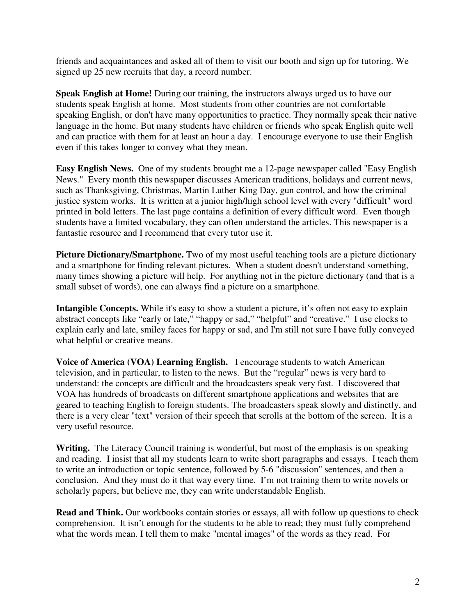friends and acquaintances and asked all of them to visit our booth and sign up for tutoring. We signed up 25 new recruits that day, a record number.

**Speak English at Home!** During our training, the instructors always urged us to have our students speak English at home. Most students from other countries are not comfortable speaking English, or don't have many opportunities to practice. They normally speak their native language in the home. But many students have children or friends who speak English quite well and can practice with them for at least an hour a day. I encourage everyone to use their English even if this takes longer to convey what they mean.

**Easy English News.** One of my students brought me a 12-page newspaper called "Easy English News." Every month this newspaper discusses American traditions, holidays and current news, such as Thanksgiving, Christmas, Martin Luther King Day, gun control, and how the criminal justice system works. It is written at a junior high/high school level with every "difficult" word printed in bold letters. The last page contains a definition of every difficult word. Even though students have a limited vocabulary, they can often understand the articles. This newspaper is a fantastic resource and I recommend that every tutor use it.

**Picture Dictionary/Smartphone.** Two of my most useful teaching tools are a picture dictionary and a smartphone for finding relevant pictures. When a student doesn't understand something, many times showing a picture will help. For anything not in the picture dictionary (and that is a small subset of words), one can always find a picture on a smartphone.

**Intangible Concepts.** While it's easy to show a student a picture, it's often not easy to explain abstract concepts like "early or late," "happy or sad," "helpful" and "creative." I use clocks to explain early and late, smiley faces for happy or sad, and I'm still not sure I have fully conveyed what helpful or creative means.

**Voice of America (VOA) Learning English.** I encourage students to watch American television, and in particular, to listen to the news. But the "regular" news is very hard to understand: the concepts are difficult and the broadcasters speak very fast. I discovered that VOA has hundreds of broadcasts on different smartphone applications and websites that are geared to teaching English to foreign students. The broadcasters speak slowly and distinctly, and there is a very clear "text" version of their speech that scrolls at the bottom of the screen. It is a very useful resource.

Writing. The Literacy Council training is wonderful, but most of the emphasis is on speaking and reading. I insist that all my students learn to write short paragraphs and essays. I teach them to write an introduction or topic sentence, followed by 5-6 "discussion" sentences, and then a conclusion. And they must do it that way every time. I'm not training them to write novels or scholarly papers, but believe me, they can write understandable English.

**Read and Think.** Our workbooks contain stories or essays, all with follow up questions to check comprehension. It isn't enough for the students to be able to read; they must fully comprehend what the words mean. I tell them to make "mental images" of the words as they read. For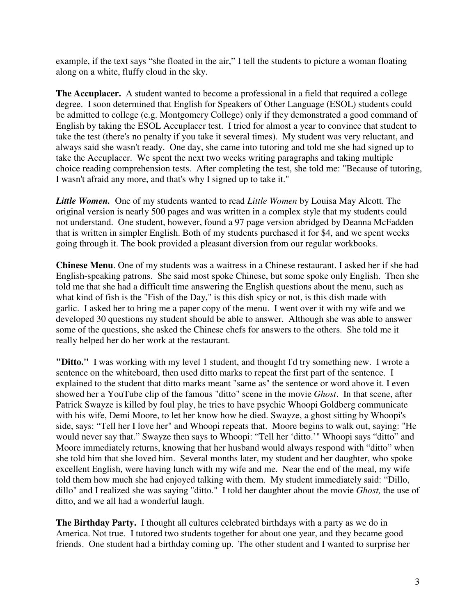example, if the text says "she floated in the air," I tell the students to picture a woman floating along on a white, fluffy cloud in the sky.

**The Accuplacer.** A student wanted to become a professional in a field that required a college degree. I soon determined that English for Speakers of Other Language (ESOL) students could be admitted to college (e.g. Montgomery College) only if they demonstrated a good command of English by taking the ESOL Accuplacer test. I tried for almost a year to convince that student to take the test (there's no penalty if you take it several times). My student was very reluctant, and always said she wasn't ready. One day, she came into tutoring and told me she had signed up to take the Accuplacer. We spent the next two weeks writing paragraphs and taking multiple choice reading comprehension tests. After completing the test, she told me: "Because of tutoring, I wasn't afraid any more, and that's why I signed up to take it."

*Little Women.* One of my students wanted to read *Little Women* by Louisa May Alcott. The original version is nearly 500 pages and was written in a complex style that my students could not understand. One student, however, found a 97 page version abridged by Deanna McFadden that is written in simpler English. Both of my students purchased it for \$4, and we spent weeks going through it. The book provided a pleasant diversion from our regular workbooks.

**Chinese Menu**. One of my students was a waitress in a Chinese restaurant. I asked her if she had English-speaking patrons. She said most spoke Chinese, but some spoke only English. Then she told me that she had a difficult time answering the English questions about the menu, such as what kind of fish is the "Fish of the Day," is this dish spicy or not, is this dish made with garlic. I asked her to bring me a paper copy of the menu. I went over it with my wife and we developed 30 questions my student should be able to answer. Although she was able to answer some of the questions, she asked the Chinese chefs for answers to the others. She told me it really helped her do her work at the restaurant.

**"Ditto."** I was working with my level 1 student, and thought I'd try something new. I wrote a sentence on the whiteboard, then used ditto marks to repeat the first part of the sentence. I explained to the student that ditto marks meant "same as" the sentence or word above it. I even showed her a YouTube clip of the famous "ditto" scene in the movie *Ghost*. In that scene, after Patrick Swayze is killed by foul play, he tries to have psychic Whoopi Goldberg communicate with his wife, Demi Moore, to let her know how he died. Swayze, a ghost sitting by Whoopi's side, says: "Tell her I love her" and Whoopi repeats that. Moore begins to walk out, saying: "He would never say that." Swayze then says to Whoopi: "Tell her 'ditto.'" Whoopi says "ditto" and Moore immediately returns, knowing that her husband would always respond with "ditto" when she told him that she loved him. Several months later, my student and her daughter, who spoke excellent English, were having lunch with my wife and me. Near the end of the meal, my wife told them how much she had enjoyed talking with them. My student immediately said: "Dillo, dillo" and I realized she was saying "ditto." I told her daughter about the movie *Ghost,* the use of ditto, and we all had a wonderful laugh.

**The Birthday Party.** I thought all cultures celebrated birthdays with a party as we do in America. Not true. I tutored two students together for about one year, and they became good friends. One student had a birthday coming up. The other student and I wanted to surprise her